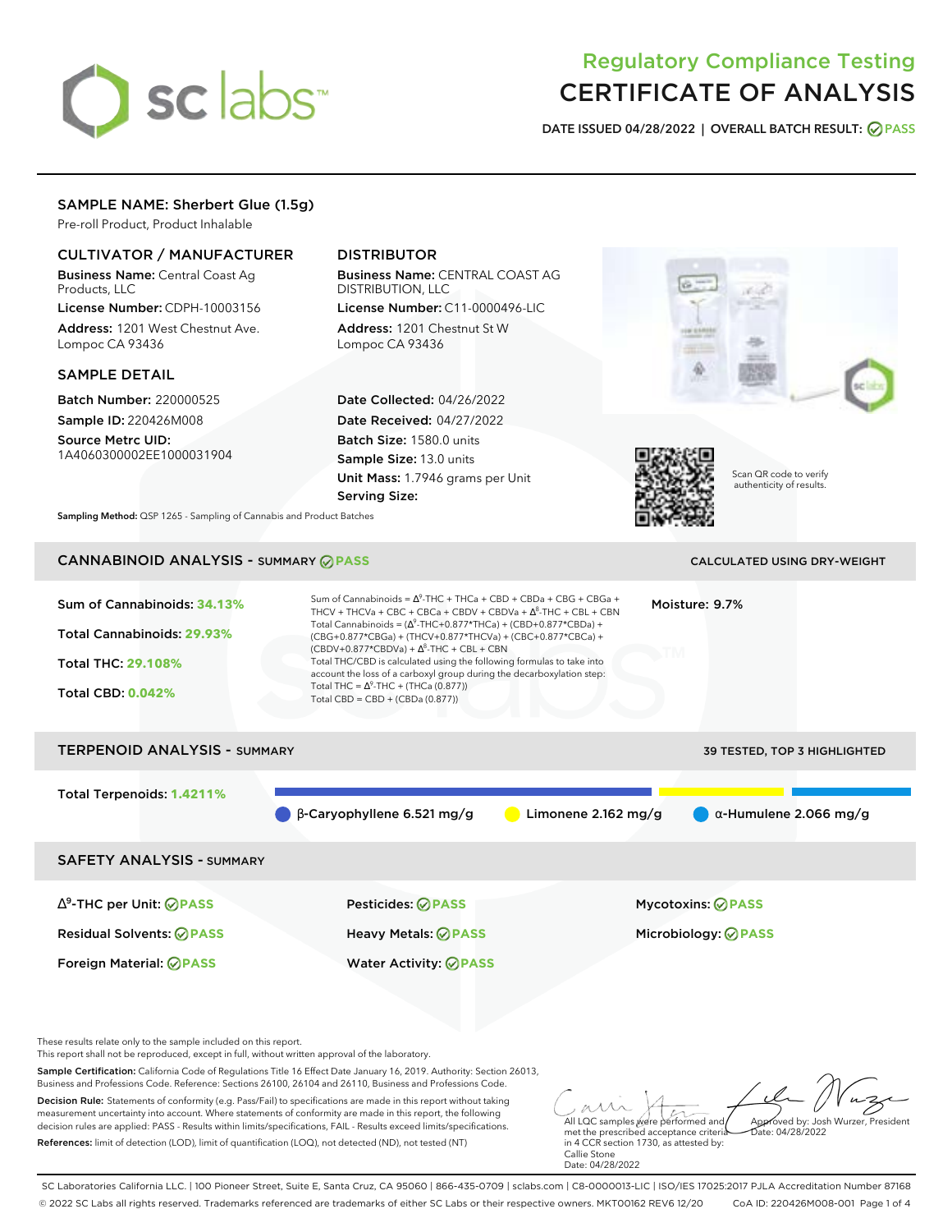# sclabs<sup>\*</sup>

# Regulatory Compliance Testing CERTIFICATE OF ANALYSIS

**DATE ISSUED 04/28/2022 | OVERALL BATCH RESULT: PASS**

# SAMPLE NAME: Sherbert Glue (1.5g)

Pre-roll Product, Product Inhalable

# CULTIVATOR / MANUFACTURER

Business Name: Central Coast Ag Products, LLC

License Number: CDPH-10003156 Address: 1201 West Chestnut Ave. Lompoc CA 93436

# SAMPLE DETAIL

Batch Number: 220000525 Sample ID: 220426M008

Source Metrc UID: 1A4060300002EE1000031904

# DISTRIBUTOR

Business Name: CENTRAL COAST AG DISTRIBUTION, LLC License Number: C11-0000496-LIC

Address: 1201 Chestnut St W Lompoc CA 93436

Date Collected: 04/26/2022 Date Received: 04/27/2022 Batch Size: 1580.0 units Sample Size: 13.0 units Unit Mass: 1.7946 grams per Unit Serving Size:





Scan QR code to verify authenticity of results.

**Sampling Method:** QSP 1265 - Sampling of Cannabis and Product Batches

# CANNABINOID ANALYSIS - SUMMARY **PASS** CALCULATED USING DRY-WEIGHT

| Sum of Cannabinoids: 34.13%<br>Total Cannabinoids: 29.93%<br><b>Total THC: 29.108%</b><br><b>Total CBD: 0.042%</b> | Sum of Cannabinoids = $\Delta^9$ -THC + THCa + CBD + CBDa + CBG + CBGa +<br>THCV + THCVa + CBC + CBCa + CBDV + CBDVa + $\Delta^8$ -THC + CBL + CBN<br>Total Cannabinoids = $(\Delta^9$ -THC+0.877*THCa) + (CBD+0.877*CBDa) +<br>(CBG+0.877*CBGa) + (THCV+0.877*THCVa) + (CBC+0.877*CBCa) +<br>$(CBDV+0.877*CBDVa) + \Delta^8$ -THC + CBL + CBN<br>Total THC/CBD is calculated using the following formulas to take into<br>account the loss of a carboxyl group during the decarboxylation step:<br>Total THC = $\Delta^9$ -THC + (THCa (0.877))<br>Total CBD = CBD + (CBDa (0.877)) |                       | Moisture: 9.7%                                  |
|--------------------------------------------------------------------------------------------------------------------|--------------------------------------------------------------------------------------------------------------------------------------------------------------------------------------------------------------------------------------------------------------------------------------------------------------------------------------------------------------------------------------------------------------------------------------------------------------------------------------------------------------------------------------------------------------------------------------|-----------------------|-------------------------------------------------|
| <b>TERPENOID ANALYSIS - SUMMARY</b>                                                                                |                                                                                                                                                                                                                                                                                                                                                                                                                                                                                                                                                                                      |                       | 39 TESTED, TOP 3 HIGHLIGHTED                    |
| Total Terpenoids: 1.4211%                                                                                          | $\beta$ -Caryophyllene 6.521 mg/g                                                                                                                                                                                                                                                                                                                                                                                                                                                                                                                                                    | Limonene $2.162$ mg/g | $\alpha$ -Humulene 2.066 mg/g                   |
| <b>SAFETY ANALYSIS - SUMMARY</b>                                                                                   |                                                                                                                                                                                                                                                                                                                                                                                                                                                                                                                                                                                      |                       |                                                 |
| $\Delta^9$ -THC per Unit: $\bigcirc$ PASS<br><b>Residual Solvents: ⊘PASS</b><br>Foreign Material: <b>⊘ PASS</b>    | <b>Pesticides: ⊘ PASS</b><br>Heavy Metals: <b>⊘ PASS</b><br><b>Water Activity: ◎ PASS</b>                                                                                                                                                                                                                                                                                                                                                                                                                                                                                            |                       | Mycotoxins: ⊘PASS<br>Microbiology: <b>⊘PASS</b> |

These results relate only to the sample included on this report.

This report shall not be reproduced, except in full, without written approval of the laboratory.

Sample Certification: California Code of Regulations Title 16 Effect Date January 16, 2019. Authority: Section 26013, Business and Professions Code. Reference: Sections 26100, 26104 and 26110, Business and Professions Code.

Decision Rule: Statements of conformity (e.g. Pass/Fail) to specifications are made in this report without taking measurement uncertainty into account. Where statements of conformity are made in this report, the following decision rules are applied: PASS - Results within limits/specifications, FAIL - Results exceed limits/specifications. References: limit of detection (LOD), limit of quantification (LOQ), not detected (ND), not tested (NT)

All LQC samples were performed and Approved by: Josh Wurzer, President Date: 04/28/2022

met the prescribed acceptance criteria in 4 CCR section 1730, as attested by: Callie Stone Date: 04/28/2022

SC Laboratories California LLC. | 100 Pioneer Street, Suite E, Santa Cruz, CA 95060 | 866-435-0709 | sclabs.com | C8-0000013-LIC | ISO/IES 17025:2017 PJLA Accreditation Number 87168 © 2022 SC Labs all rights reserved. Trademarks referenced are trademarks of either SC Labs or their respective owners. MKT00162 REV6 12/20 CoA ID: 220426M008-001 Page 1 of 4